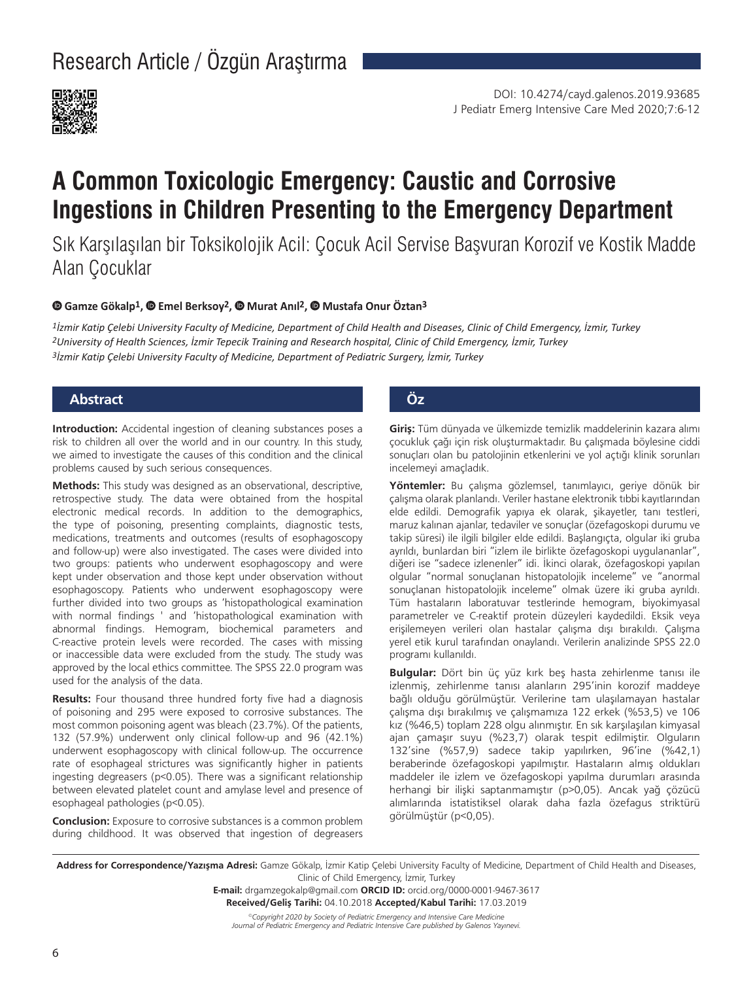# Research Article / Özgün Araştırma



# **A Common Toxicologic Emergency: Caustic and Corrosive Ingestions in Children Presenting to the Emergency Department**

Sık Karşılaşılan bir Toksikolojik Acil: Çocuk Acil Servise Başvuran Korozif ve Kostik Madde Alan Çocuklar

#### **Gamze Gökalp1,Emel Berksoy2,Murat Anıl2,Mustafa Onur Öztan3**

*1İzmir Katip Çelebi University Faculty of Medicine, Department of Child Health and Diseases, Clinic of Child Emergency, İzmir, Turkey 2University of Health Sciences, İzmir Tepecik Training and Research hospital, Clinic of Child Emergency, İzmir, Turkey 3İzmir Katip Çelebi University Faculty of Medicine, Department of Pediatric Surgery, İzmir, Turkey*

# **Abstract Öz**

**Introduction:** Accidental ingestion of cleaning substances poses a risk to children all over the world and in our country. In this study, we aimed to investigate the causes of this condition and the clinical problems caused by such serious consequences.

**Methods:** This study was designed as an observational, descriptive, retrospective study. The data were obtained from the hospital electronic medical records. In addition to the demographics, the type of poisoning, presenting complaints, diagnostic tests, medications, treatments and outcomes (results of esophagoscopy and follow-up) were also investigated. The cases were divided into two groups: patients who underwent esophagoscopy and were kept under observation and those kept under observation without esophagoscopy. Patients who underwent esophagoscopy were further divided into two groups as 'histopathological examination with normal findings ' and 'histopathological examination with abnormal findings. Hemogram, biochemical parameters and C-reactive protein levels were recorded. The cases with missing or inaccessible data were excluded from the study. The study was approved by the local ethics committee. The SPSS 22.0 program was used for the analysis of the data.

**Results:** Four thousand three hundred forty five had a diagnosis of poisoning and 295 were exposed to corrosive substances. The most common poisoning agent was bleach (23.7%). Of the patients, 132 (57.9%) underwent only clinical follow-up and 96 (42.1%) underwent esophagoscopy with clinical follow-up. The occurrence rate of esophageal strictures was significantly higher in patients ingesting degreasers (p<0.05). There was a significant relationship between elevated platelet count and amylase level and presence of esophageal pathologies (p<0.05).

**Conclusion:** Exposure to corrosive substances is a common problem during childhood. It was observed that ingestion of degreasers

**Giriş:** Tüm dünyada ve ülkemizde temizlik maddelerinin kazara alımı çocukluk çağı için risk oluşturmaktadır. Bu çalışmada böylesine ciddi sonuçları olan bu patolojinin etkenlerini ve yol açtığı klinik sorunları incelemeyi amaçladık.

**Yöntemler:** Bu çalışma gözlemsel, tanımlayıcı, geriye dönük bir çalışma olarak planlandı. Veriler hastane elektronik tıbbi kayıtlarından elde edildi. Demografik yapıya ek olarak, şikayetler, tanı testleri, maruz kalınan ajanlar, tedaviler ve sonuçlar (özefagoskopi durumu ve takip süresi) ile ilgili bilgiler elde edildi. Başlangıçta, olgular iki gruba ayrıldı, bunlardan biri "izlem ile birlikte özefagoskopi uygulananlar", diğeri ise "sadece izlenenler" idi. İkinci olarak, özefagoskopi yapılan olgular "normal sonuçlanan histopatolojik inceleme" ve "anormal sonuçlanan histopatolojik inceleme" olmak üzere iki gruba ayrıldı. Tüm hastaların laboratuvar testlerinde hemogram, biyokimyasal parametreler ve C-reaktif protein düzeyleri kaydedildi. Eksik veya erişilemeyen verileri olan hastalar çalışma dışı bırakıldı. Çalışma yerel etik kurul tarafından onaylandı. Verilerin analizinde SPSS 22.0 programı kullanıldı.

**Bulgular:** Dört bin üç yüz kırk beş hasta zehirlenme tanısı ile izlenmiş, zehirlenme tanısı alanların 295'inin korozif maddeye bağlı olduğu görülmüştür. Verilerine tam ulaşılamayan hastalar çalışma dışı bırakılmış ve çalışmamıza 122 erkek (%53,5) ve 106 kız (%46,5) toplam 228 olgu alınmıştır. En sık karşılaşılan kimyasal ajan çamaşır suyu (%23,7) olarak tespit edilmiştir. Olguların 132'sine (%57,9) sadece takip yapılırken, 96'ine (%42,1) beraberinde özefagoskopi yapılmıştır. Hastaların almış oldukları maddeler ile izlem ve özefagoskopi yapılma durumları arasında herhangi bir ilişki saptanmamıştır (p>0,05). Ancak yağ çözücü alımlarında istatistiksel olarak daha fazla özefagus striktürü görülmüştür (p<0,05).

**Address for Correspondence/Yazışma Adresi:** Gamze Gökalp, İzmir Katip Çelebi University Faculty of Medicine, Department of Child Health and Diseases, Clinic of Child Emergency, İzmir, Turkey

> **E-mail:** drgamzegokalp@gmail.com **ORCID ID:** orcid.org/0000-0001-9467-3617 **Received/Geliş Tarihi:** 04.10.2018 **Accepted/Kabul Tarihi:** 17.03.2019

*©Copyright 2020 by Society of Pediatric Emergency and Intensive Care Medicine Journal of Pediatric Emergency and Pediatric Intensive Care published by Galenos Yayınevi.*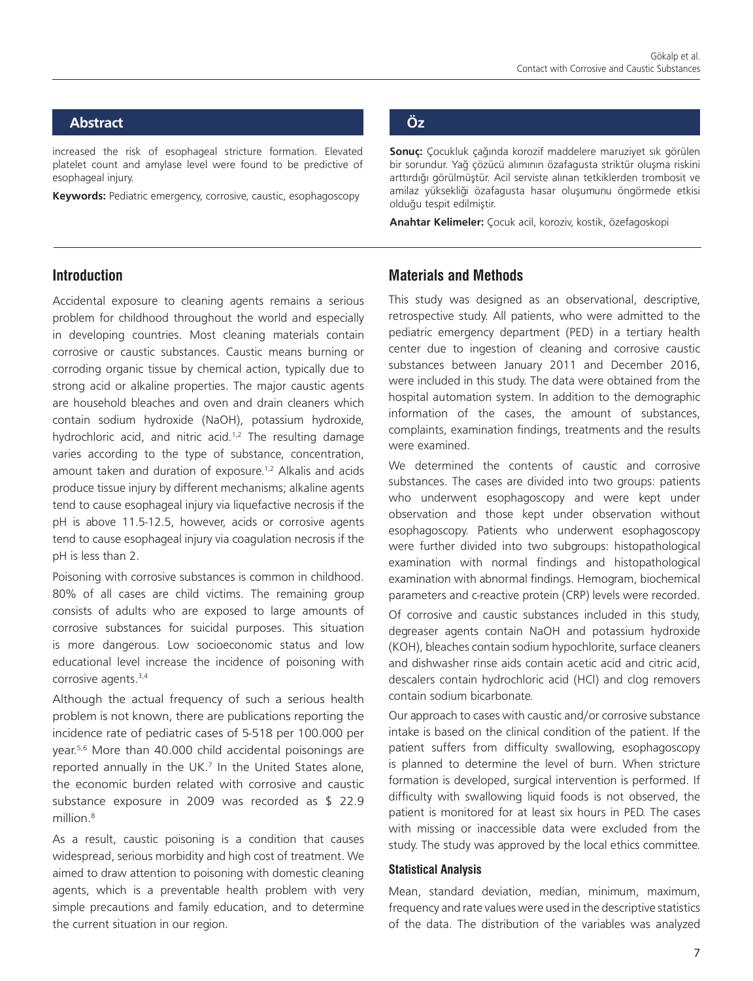# **Abstract Öz**

increased the risk of esophageal stricture formation. Elevated platelet count and amylase level were found to be predictive of esophageal injury.

**Keywords:** Pediatric emergency, corrosive, caustic, esophagoscopy

**Sonuç:** Çocukluk çağında korozif maddelere maruziyet sık görülen bir sorundur. Yağ çözücü alımının özafagusta striktür oluşma riskini arttırdığı görülmüştür. Acil serviste alınan tetkiklerden trombosit ve amilaz yüksekliği özafagusta hasar oluşumunu öngörmede etkisi olduğu tespit edilmiştir.

**Anahtar Kelimeler:** Çocuk acil, koroziv, kostik, özefagoskopi

## **Introduction**

Accidental exposure to cleaning agents remains a serious problem for childhood throughout the world and especially in developing countries. Most cleaning materials contain corrosive or caustic substances. Caustic means burning or corroding organic tissue by chemical action, typically due to strong acid or alkaline properties. The major caustic agents are household bleaches and oven and drain cleaners which contain sodium hydroxide (NaOH), potassium hydroxide, hydrochloric acid, and nitric acid.<sup>1,2</sup> The resulting damage varies according to the type of substance, concentration, amount taken and duration of exposure.<sup>1,2</sup> Alkalis and acids produce tissue injury by different mechanisms; alkaline agents tend to cause esophageal injury via liquefactive necrosis if the pH is above 11.5-12.5, however, acids or corrosive agents tend to cause esophageal injury via coagulation necrosis if the pH is less than 2.

Poisoning with corrosive substances is common in childhood. 80% of all cases are child victims. The remaining group consists of adults who are exposed to large amounts of corrosive substances for suicidal purposes. This situation is more dangerous. Low socioeconomic status and low educational level increase the incidence of poisoning with corrosive agents.<sup>3,4</sup>

Although the actual frequency of such a serious health problem is not known, there are publications reporting the incidence rate of pediatric cases of 5-518 per 100.000 per year.5,6 More than 40.000 child accidental poisonings are reported annually in the UK.<sup>7</sup> In the United States alone, the economic burden related with corrosive and caustic substance exposure in 2009 was recorded as \$ 22.9 million.8

As a result, caustic poisoning is a condition that causes widespread, serious morbidity and high cost of treatment. We aimed to draw attention to poisoning with domestic cleaning agents, which is a preventable health problem with very simple precautions and family education, and to determine the current situation in our region.

## **Materials and Methods**

This study was designed as an observational, descriptive, retrospective study. All patients, who were admitted to the pediatric emergency department (PED) in a tertiary health center due to ingestion of cleaning and corrosive caustic substances between January 2011 and December 2016, were included in this study. The data were obtained from the hospital automation system. In addition to the demographic information of the cases, the amount of substances, complaints, examination findings, treatments and the results were examined.

We determined the contents of caustic and corrosive substances. The cases are divided into two groups: patients who underwent esophagoscopy and were kept under observation and those kept under observation without esophagoscopy. Patients who underwent esophagoscopy were further divided into two subgroups: histopathological examination with normal findings and histopathological examination with abnormal findings. Hemogram, biochemical parameters and c-reactive protein (CRP) levels were recorded.

Of corrosive and caustic substances included in this study, degreaser agents contain NaOH and potassium hydroxide (KOH), bleaches contain sodium hypochlorite, surface cleaners and dishwasher rinse aids contain acetic acid and citric acid, descalers contain hydrochloric acid (HCl) and clog removers contain sodium bicarbonate.

Our approach to cases with caustic and/or corrosive substance intake is based on the clinical condition of the patient. If the patient suffers from difficulty swallowing, esophagoscopy is planned to determine the level of burn. When stricture formation is developed, surgical intervention is performed. If difficulty with swallowing liquid foods is not observed, the patient is monitored for at least six hours in PED. The cases with missing or inaccessible data were excluded from the study. The study was approved by the local ethics committee.

#### **Statistical Analysis**

Mean, standard deviation, median, minimum, maximum, frequency and rate values were used in the descriptive statistics of the data. The distribution of the variables was analyzed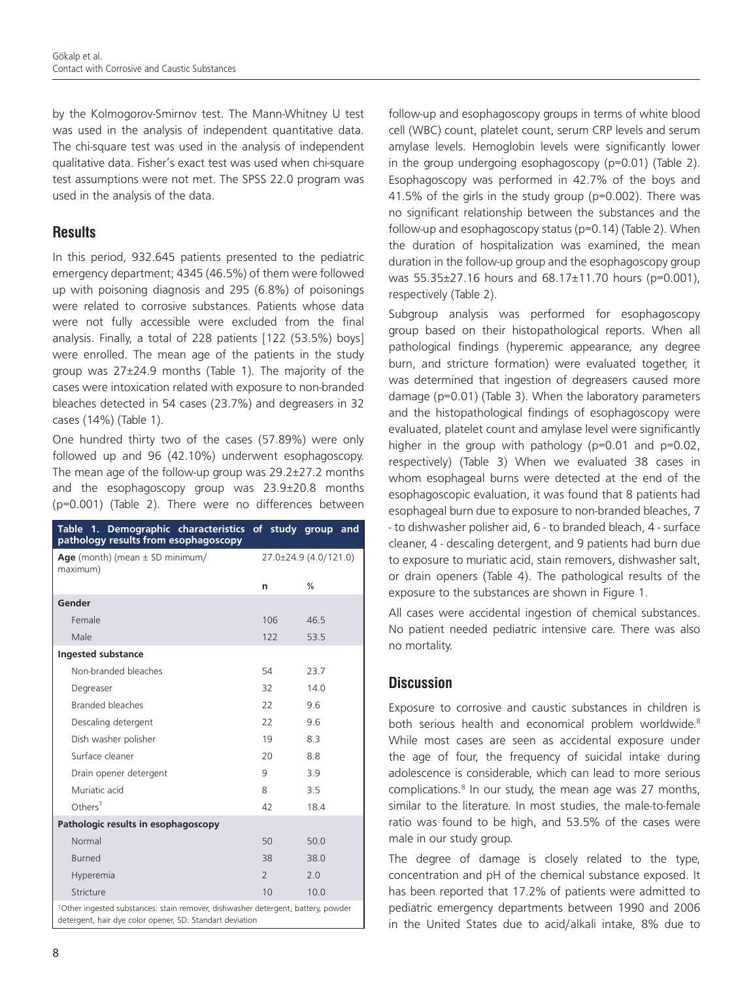by the Kolmogorov-Smirnov test. The Mann-Whitney U test was used in the analysis of independent quantitative data. The chi-square test was used in the analysis of independent qualitative data. Fisher's exact test was used when chi-square test assumptions were not met. The SPSS 22.0 program was used in the analysis of the data.

# **Results**

In this period, 932.645 patients presented to the pediatric emergency department; 4345 (46.5%) of them were followed up with poisoning diagnosis and 295 (6.8%) of poisonings were related to corrosive substances. Patients whose data were not fully accessible were excluded from the final analysis. Finally, a total of 228 patients [122 (53.5%) boys] were enrolled. The mean age of the patients in the study group was 27±24.9 months (Table 1). The majority of the cases were intoxication related with exposure to non-branded bleaches detected in 54 cases (23.7%) and degreasers in 32 cases (14%) (Table 1).

One hundred thirty two of the cases (57.89%) were only followed up and 96 (42.10%) underwent esophagoscopy. The mean age of the follow-up group was 29.2±27.2 months and the esophagoscopy group was 23.9±20.8 months (p=0.001) (Table 2). There were no differences between

| Table 1. Demographic characteristics of study group and<br>pathology results from esophagoscopy                                                          |                |                       |  |
|----------------------------------------------------------------------------------------------------------------------------------------------------------|----------------|-----------------------|--|
| Age (month) (mean $\pm$ SD minimum/<br>maximum)                                                                                                          |                | 27.0±24.9 (4.0/121.0) |  |
|                                                                                                                                                          | n              | $\frac{0}{0}$         |  |
| Gender                                                                                                                                                   |                |                       |  |
| Female                                                                                                                                                   | 106            | 46.5                  |  |
| Male                                                                                                                                                     | 122            | 535                   |  |
| Ingested substance                                                                                                                                       |                |                       |  |
| Non-branded bleaches                                                                                                                                     | 54             | 23.7                  |  |
| Degreaser                                                                                                                                                | 32             | 140                   |  |
| Branded bleaches                                                                                                                                         | 22             | 96                    |  |
| Descaling detergent                                                                                                                                      | 22             | 96                    |  |
| Dish washer polisher                                                                                                                                     | 19             | 8.3                   |  |
| Surface cleaner                                                                                                                                          | 20             | 8.8                   |  |
| Drain opener detergent                                                                                                                                   | 9              | 3.9                   |  |
| Muriatic acid                                                                                                                                            | 8              | 3.5                   |  |
| Others <sup>1</sup>                                                                                                                                      | 42             | 184                   |  |
| Pathologic results in esophagoscopy                                                                                                                      |                |                       |  |
| Normal                                                                                                                                                   | 50             | 50.0                  |  |
| <b>Burned</b>                                                                                                                                            | 38             | 38.0                  |  |
| Hyperemia                                                                                                                                                | $\overline{2}$ | 2.0                   |  |
| Stricture                                                                                                                                                | 10             | 10.0                  |  |
| <sup>1</sup> Other ingested substances: stain remover, dishwasher detergent, battery, powder<br>detergent, hair dye color opener, SD: Standart deviation |                |                       |  |

follow-up and esophagoscopy groups in terms of white blood cell (WBC) count, platelet count, serum CRP levels and serum amylase levels. Hemoglobin levels were significantly lower in the group undergoing esophagoscopy (p=0.01) (Table 2). Esophagoscopy was performed in 42.7% of the boys and 41.5% of the girls in the study group (p=0.002). There was no significant relationship between the substances and the follow-up and esophagoscopy status (p=0.14) (Table 2). When the duration of hospitalization was examined, the mean duration in the follow-up group and the esophagoscopy group was 55.35±27.16 hours and 68.17±11.70 hours (p=0.001), respectively (Table 2).

Subgroup analysis was performed for esophagoscopy group based on their histopathological reports. When all pathological findings (hyperemic appearance, any degree burn, and stricture formation) were evaluated together, it was determined that ingestion of degreasers caused more damage (p=0.01) (Table 3). When the laboratory parameters and the histopathological findings of esophagoscopy were evaluated, platelet count and amylase level were significantly higher in the group with pathology (p=0.01 and p=0.02, respectively) (Table 3) When we evaluated 38 cases in whom esophageal burns were detected at the end of the esophagoscopic evaluation, it was found that 8 patients had esophageal burn due to exposure to non-branded bleaches, 7 - to dishwasher polisher aid, 6 - to branded bleach, 4 - surface cleaner, 4 - descaling detergent, and 9 patients had burn due to exposure to muriatic acid, stain removers, dishwasher salt, or drain openers (Table 4). The pathological results of the exposure to the substances are shown in Figure 1.

All cases were accidental ingestion of chemical substances. No patient needed pediatric intensive care. There was also no mortality.

# **Discussion**

Exposure to corrosive and caustic substances in children is both serious health and economical problem worldwide.<sup>8</sup> While most cases are seen as accidental exposure under the age of four, the frequency of suicidal intake during adolescence is considerable, which can lead to more serious complications.<sup>8</sup> In our study, the mean age was 27 months, similar to the literature. In most studies, the male-to-female ratio was found to be high, and 53.5% of the cases were male in our study group.

The degree of damage is closely related to the type, concentration and pH of the chemical substance exposed. It has been reported that 17.2% of patients were admitted to pediatric emergency departments between 1990 and 2006 in the United States due to acid/alkali intake, 8% due to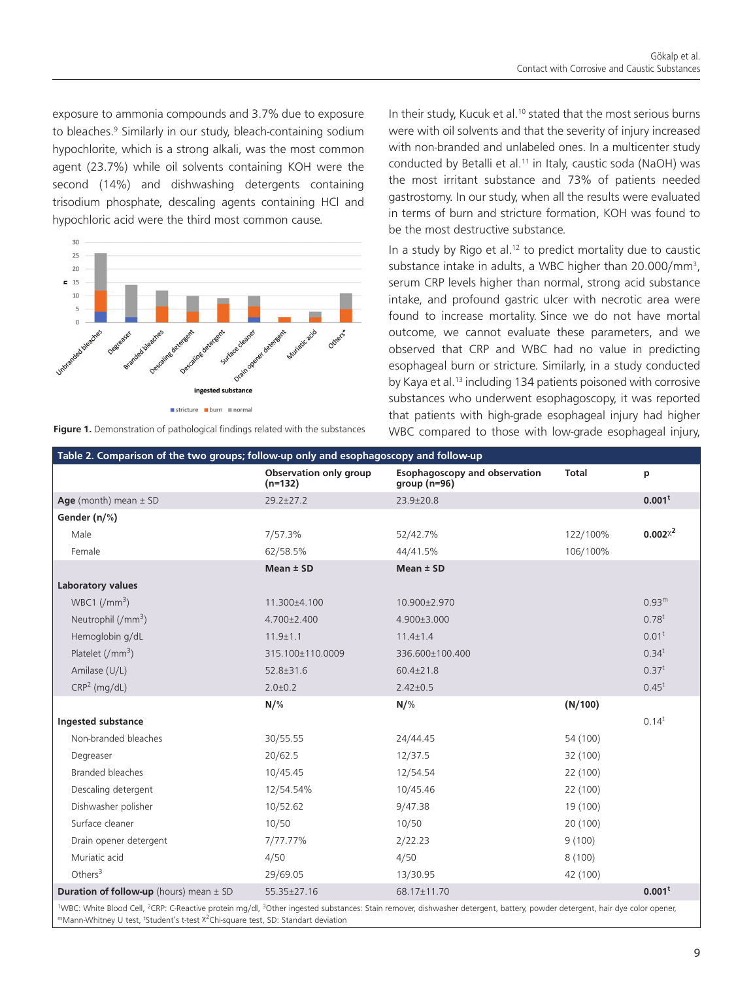exposure to ammonia compounds and 3.7% due to exposure to bleaches.<sup>9</sup> Similarly in our study, bleach-containing sodium hypochlorite, which is a strong alkali, was the most common agent (23.7%) while oil solvents containing KOH were the second (14%) and dishwashing detergents containing trisodium phosphate, descaling agents containing HCl and hypochloric acid were the third most common cause.



**Figure 1.** Demonstration of pathological findings related with the substances

In their study, Kucuk et al.<sup>10</sup> stated that the most serious burns were with oil solvents and that the severity of injury increased with non-branded and unlabeled ones. In a multicenter study conducted by Betalli et al.<sup>11</sup> in Italy, caustic soda (NaOH) was the most irritant substance and 73% of patients needed gastrostomy. In our study, when all the results were evaluated in terms of burn and stricture formation, KOH was found to be the most destructive substance.

In a study by Rigo et al.<sup>12</sup> to predict mortality due to caustic substance intake in adults, a WBC higher than  $20.000/\text{mm}^3$ , serum CRP levels higher than normal, strong acid substance intake, and profound gastric ulcer with necrotic area were found to increase mortality. Since we do not have mortal outcome, we cannot evaluate these parameters, and we observed that CRP and WBC had no value in predicting esophageal burn or stricture. Similarly, in a study conducted by Kaya et al.<sup>13</sup> including 134 patients poisoned with corrosive substances who underwent esophagoscopy, it was reported that patients with high-grade esophageal injury had higher WBC compared to those with low-grade esophageal injury,

| Table 2. Comparison of the two groups; follow-up only and esophagoscopy and follow-up                                                                                                                                                                                                                                       |                                     |                                                        |              |                    |  |
|-----------------------------------------------------------------------------------------------------------------------------------------------------------------------------------------------------------------------------------------------------------------------------------------------------------------------------|-------------------------------------|--------------------------------------------------------|--------------|--------------------|--|
|                                                                                                                                                                                                                                                                                                                             | Observation only group<br>$(n=132)$ | <b>Esophagoscopy and observation</b><br>group $(n=96)$ | <b>Total</b> | p                  |  |
| Age (month) mean $\pm$ SD                                                                                                                                                                                                                                                                                                   | $29.2 \pm 27.2$                     | 23.9±20.8                                              |              | 0.001 <sup>t</sup> |  |
| Gender (n/%)                                                                                                                                                                                                                                                                                                                |                                     |                                                        |              |                    |  |
| Male                                                                                                                                                                                                                                                                                                                        | 7/57.3%                             | 52/42.7%                                               | 122/100%     | $0.002^{x^2}$      |  |
| Female                                                                                                                                                                                                                                                                                                                      | 62/58.5%                            | 44/41.5%                                               | 106/100%     |                    |  |
|                                                                                                                                                                                                                                                                                                                             | Mean $±$ SD                         | Mean $±$ SD                                            |              |                    |  |
| Laboratory values                                                                                                                                                                                                                                                                                                           |                                     |                                                        |              |                    |  |
| WBC1 $\frac{1}{2}$                                                                                                                                                                                                                                                                                                          | 11.300±4.100                        | 10.900±2.970                                           |              | 0.93 <sup>m</sup>  |  |
| Neutrophil $\frac{1}{(mm^3)}$                                                                                                                                                                                                                                                                                               | $4.700 \pm 2.400$                   | 4.900±3.000                                            |              | $0.78^t$           |  |
| Hemoglobin g/dL                                                                                                                                                                                                                                                                                                             | $11.9 \pm 1.1$                      | $11.4 \pm 1.4$                                         |              | $0.01^t$           |  |
| Platelet $\frac{1}{2}$ mm <sup>3</sup> )                                                                                                                                                                                                                                                                                    | 315.100±110.0009                    | 336.600±100.400                                        |              | $0.34^t$           |  |
| Amilase (U/L)                                                                                                                                                                                                                                                                                                               | $52.8 \pm 31.6$                     | $60.4 \pm 21.8$                                        |              | $0.37^t$           |  |
| CRP <sup>2</sup> (mg/dL)                                                                                                                                                                                                                                                                                                    | $2.0 \pm 0.2$                       | $2.42 \pm 0.5$                                         |              | $0.45^t$           |  |
|                                                                                                                                                                                                                                                                                                                             | $N/\%$                              | $N/\%$                                                 | (N/100)      |                    |  |
| <b>Ingested substance</b>                                                                                                                                                                                                                                                                                                   |                                     |                                                        |              | $0.14^t$           |  |
| Non-branded bleaches                                                                                                                                                                                                                                                                                                        | 30/55.55                            | 24/44.45                                               | 54 (100)     |                    |  |
| Degreaser                                                                                                                                                                                                                                                                                                                   | 20/62.5                             | 12/37.5                                                | 32 (100)     |                    |  |
| Branded bleaches                                                                                                                                                                                                                                                                                                            | 10/45.45                            | 12/54.54                                               | 22 (100)     |                    |  |
| Descaling detergent                                                                                                                                                                                                                                                                                                         | 12/54.54%                           | 10/45.46                                               | 22 (100)     |                    |  |
| Dishwasher polisher                                                                                                                                                                                                                                                                                                         | 10/52.62                            | 9/47.38                                                | 19 (100)     |                    |  |
| Surface cleaner                                                                                                                                                                                                                                                                                                             | 10/50                               | 10/50                                                  | 20 (100)     |                    |  |
| Drain opener detergent                                                                                                                                                                                                                                                                                                      | 7/77.77%                            | 2/22.23                                                | 9(100)       |                    |  |
| Muriatic acid                                                                                                                                                                                                                                                                                                               | 4/50                                | 4/50                                                   | 8(100)       |                    |  |
| Others $3$                                                                                                                                                                                                                                                                                                                  | 29/69.05                            | 13/30.95                                               | 42 (100)     |                    |  |
| <b>Duration of follow-up</b> (hours) mean $\pm$ SD                                                                                                                                                                                                                                                                          | 55.35±27.16                         | 68.17±11.70                                            |              | 0.001 <sup>t</sup> |  |
| <sup>1</sup> WBC: White Blood Cell, <sup>2</sup> CRP: C-Reactive protein mg/dl, <sup>3</sup> Other ingested substances: Stain remover, dishwasher detergent, battery, powder detergent, hair dye color opener,<br>"Mann-Whitney U test, <sup>t</sup> Student's t-test <sup>x2</sup> Chi-square test, SD: Standart deviation |                                     |                                                        |              |                    |  |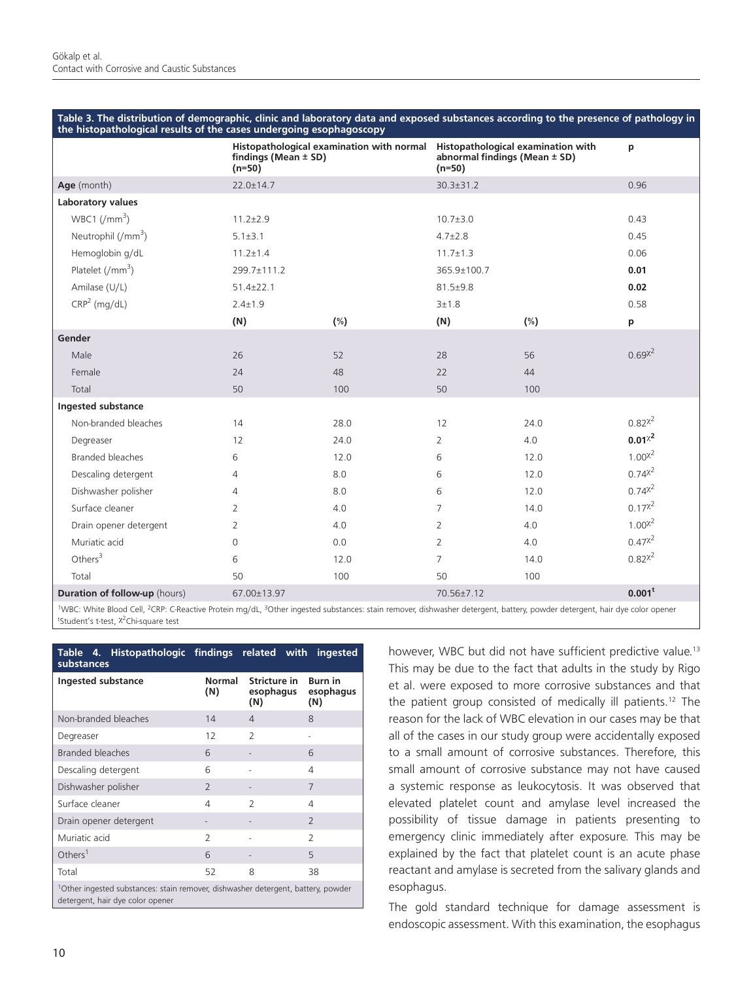| Table 3. The distribution of demographic, clinic and laboratory data and exposed substances according to the presence of pathology in |  |  |
|---------------------------------------------------------------------------------------------------------------------------------------|--|--|
| the histopathological results of the cases undergoing esophagoscopy                                                                   |  |  |

|                                      | Histopathological examination with normal<br>findings (Mean $\pm$ SD)<br>$(n=50)$ |        | Histopathological examination with<br>abnormal findings (Mean ± SD)<br>$(n=50)$ |        | p                  |
|--------------------------------------|-----------------------------------------------------------------------------------|--------|---------------------------------------------------------------------------------|--------|--------------------|
| Age (month)                          | $22.0 \pm 14.7$                                                                   |        | $30.3 \pm 31.2$                                                                 |        | 0.96               |
| Laboratory values                    |                                                                                   |        |                                                                                 |        |                    |
| WBC1 $\frac{1}{m^3}$                 | $11.2 \pm 2.9$                                                                    |        | $10.7 \pm 3.0$                                                                  |        | 0.43               |
| Neutrophil $\frac{1}{(mm^3)}$        | $5.1 \pm 3.1$                                                                     |        | $4.7 \pm 2.8$                                                                   |        | 0.45               |
| Hemoglobin g/dL                      | $11.2 \pm 1.4$                                                                    |        | $11.7 \pm 1.3$                                                                  |        | 0.06               |
| Platelet $\frac{1}{2}$               | 299.7±111.2                                                                       |        | 365.9±100.7                                                                     |        | 0.01               |
| Amilase (U/L)                        | $51.4 \pm 22.1$                                                                   |        | 81.5±9.8                                                                        |        | 0.02               |
| CRP <sup>2</sup> (mg/dL)             | $2.4 \pm 1.9$                                                                     |        | 3±1.8                                                                           |        | 0.58               |
|                                      | (N)                                                                               | $(\%)$ | (N)                                                                             | $(\%)$ | p                  |
| Gender                               |                                                                                   |        |                                                                                 |        |                    |
| Male                                 | 26                                                                                | 52     | 28                                                                              | 56     | $0.69^{x^2}$       |
| Female                               | 24                                                                                | 48     | 22                                                                              | 44     |                    |
| Total                                | 50                                                                                | 100    | 50                                                                              | 100    |                    |
| Ingested substance                   |                                                                                   |        |                                                                                 |        |                    |
| Non-branded bleaches                 | 14                                                                                | 28.0   | 12                                                                              | 24.0   | $0.82^{x^2}$       |
| Degreaser                            | 12                                                                                | 24.0   | $\overline{2}$                                                                  | 4.0    | $0.01^{\chi^2}$    |
| Branded bleaches                     | 6                                                                                 | 12.0   | 6                                                                               | 12.0   | $1.00^{x^2}$       |
| Descaling detergent                  | 4                                                                                 | 8.0    | 6                                                                               | 12.0   | $0.74x^2$          |
| Dishwasher polisher                  | 4                                                                                 | 8.0    | 6                                                                               | 12.0   | $0.74^{x^2}$       |
| Surface cleaner                      | $\overline{2}$                                                                    | 4.0    | $\overline{7}$                                                                  | 14.0   | $0.17^{2}$         |
| Drain opener detergent               | $\overline{2}$                                                                    | 4.0    | $\overline{2}$                                                                  | 4.0    | $1.00^{x^2}$       |
| Muriatic acid                        | 0                                                                                 | 0.0    | $\overline{2}$                                                                  | 4.0    | $0.47^{2}$         |
| Others $3$                           | 6                                                                                 | 12.0   | $\overline{7}$                                                                  | 14.0   | $0.82^{x^2}$       |
| Total                                | 50                                                                                | 100    | 50                                                                              | 100    |                    |
| <b>Duration of follow-up</b> (hours) | 67.00±13.97                                                                       |        | 70.56±7.12                                                                      |        | 0.001 <sup>t</sup> |

1WBC: White Blood Cell, 2CRP: C-Reactive Protein mg/dL, 3Other ingested substances: stain remover, dishwasher detergent, battery, powder detergent, hair dye color opener <sup>t</sup>Student's t-test, <sup>χ2</sup>Chi-square test

| Table 4. Histopathologic findings related with<br>substances                                                                     |                          |                                  | ingested                           |
|----------------------------------------------------------------------------------------------------------------------------------|--------------------------|----------------------------------|------------------------------------|
| Ingested substance                                                                                                               | <b>Normal</b><br>(N)     | Stricture in<br>esophagus<br>(N) | <b>Burn</b> in<br>esophagus<br>(N) |
| Non-branded bleaches                                                                                                             | 14                       | $\Delta$                         | 8                                  |
| Degreaser                                                                                                                        | 12                       | $\mathcal{D}$                    |                                    |
| <b>Branded bleaches</b>                                                                                                          | 6                        |                                  | 6                                  |
| Descaling detergent                                                                                                              | 6                        |                                  | $\overline{4}$                     |
| Dishwasher polisher                                                                                                              | $\overline{\phantom{0}}$ |                                  | 7                                  |
| Surface cleaner                                                                                                                  | Δ                        | $\mathcal{P}$                    | 4                                  |
| Drain opener detergent                                                                                                           |                          |                                  | $\mathcal{P}$                      |
| Muriatic acid                                                                                                                    | $\mathcal{P}$            |                                  | $\mathcal{P}$                      |
| Others $1$                                                                                                                       | 6                        |                                  | 5                                  |
| Total                                                                                                                            | 52                       | 8                                | 38                                 |
| <sup>1</sup> Other ingested substances: stain remover, dishwasher detergent, battery, powder<br>detergent, hair dye color opener |                          |                                  |                                    |

however, WBC but did not have sufficient predictive value.<sup>13</sup> This may be due to the fact that adults in the study by Rigo et al. were exposed to more corrosive substances and that the patient group consisted of medically ill patients.<sup>12</sup> The reason for the lack of WBC elevation in our cases may be that all of the cases in our study group were accidentally exposed to a small amount of corrosive substances. Therefore, this small amount of corrosive substance may not have caused a systemic response as leukocytosis. It was observed that elevated platelet count and amylase level increased the possibility of tissue damage in patients presenting to emergency clinic immediately after exposure. This may be explained by the fact that platelet count is an acute phase reactant and amylase is secreted from the salivary glands and esophagus.

The gold standard technique for damage assessment is endoscopic assessment. With this examination, the esophagus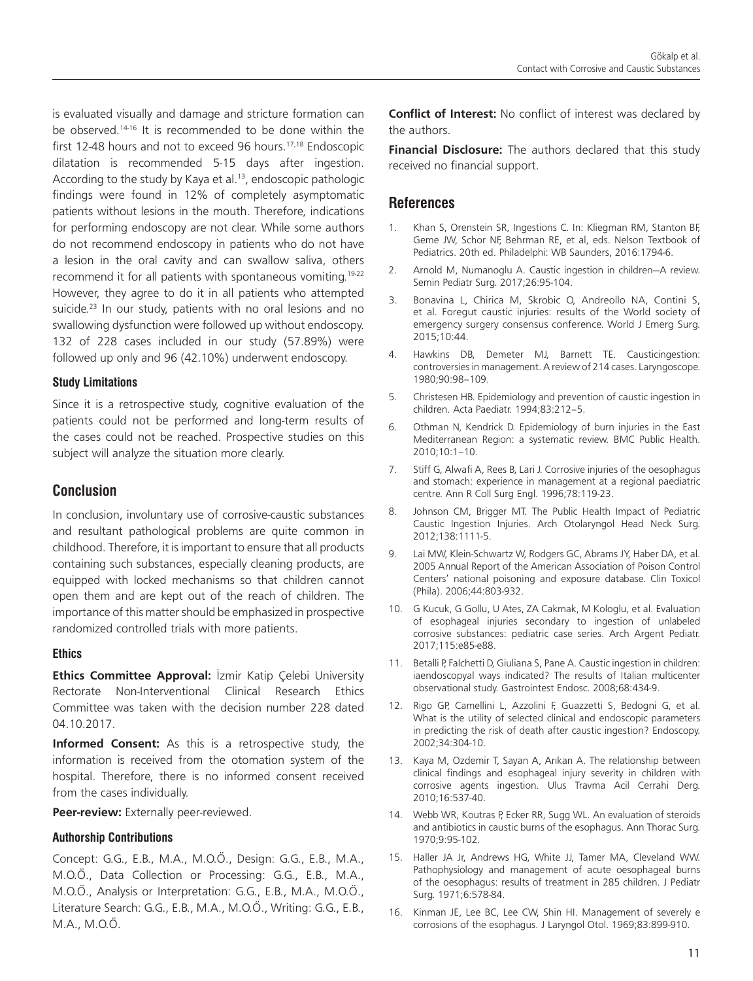is evaluated visually and damage and stricture formation can be observed.14-16 It is recommended to be done within the first 12-48 hours and not to exceed 96 hours.<sup>17,18</sup> Endoscopic dilatation is recommended 5-15 days after ingestion. According to the study by Kaya et al.<sup>13</sup>, endoscopic pathologic findings were found in 12% of completely asymptomatic patients without lesions in the mouth. Therefore, indications for performing endoscopy are not clear. While some authors do not recommend endoscopy in patients who do not have a lesion in the oral cavity and can swallow saliva, others recommend it for all patients with spontaneous vomiting.<sup>19-22</sup> However, they agree to do it in all patients who attempted suicide.<sup>23</sup> In our study, patients with no oral lesions and no swallowing dysfunction were followed up without endoscopy. 132 of 228 cases included in our study (57.89%) were followed up only and 96 (42.10%) underwent endoscopy.

#### **Study Limitations**

Since it is a retrospective study, cognitive evaluation of the patients could not be performed and long-term results of the cases could not be reached. Prospective studies on this subject will analyze the situation more clearly.

### **Conclusion**

In conclusion, involuntary use of corrosive-caustic substances and resultant pathological problems are quite common in childhood. Therefore, it is important to ensure that all products containing such substances, especially cleaning products, are equipped with locked mechanisms so that children cannot open them and are kept out of the reach of children. The importance of this matter should be emphasized in prospective randomized controlled trials with more patients.

#### **Ethics**

**Ethics Committee Approval:** İzmir Katip Çelebi University Rectorate Non-Interventional Clinical Research Ethics Committee was taken with the decision number 228 dated 04.10.2017.

**Informed Consent:** As this is a retrospective study, the information is received from the otomation system of the hospital. Therefore, there is no informed consent received from the cases individually.

**Peer-review:** Externally peer-reviewed.

#### **Authorship Contributions**

Concept: G.G., E.B., M.A., M.O.Ö., Design: G.G., E.B., M.A., M.O.Ö., Data Collection or Processing: G.G., E.B., M.A., M.O.Ö., Analysis or Interpretation: G.G., E.B., M.A., M.O.Ö., Literature Search: G.G., E.B., M.A., M.O.Ö., Writing: G.G., E.B., M.A., M.O.Ö.

**Conflict of Interest:** No conflict of interest was declared by the authors.

**Financial Disclosure:** The authors declared that this study received no financial support.

### **References**

- 1. Khan S, Orenstein SR, Ingestions C. In: Kliegman RM, Stanton BF, Geme JW, Schor NF, Behrman RE, et al, eds. Nelson Textbook of Pediatrics. 20th ed. Philadelphi: WB Saunders, 2016:1794-6.
- 2. Arnold M, Numanoglu A. Caustic ingestion in children—A review. Semin Pediatr Surg. 2017;26:95-104.
- 3. Bonavina L, Chirica M, Skrobic O, Andreollo NA, Contini S, et al. Foregut caustic injuries: results of the World society of emergency surgery consensus conference. World J Emerg Surg. 2015;10:44.
- 4. Hawkins DB, Demeter MJ, Barnett TE. Causticingestion: controversies in management. A review of 214 cases. Laryngoscope. 1980;90:98–109.
- 5. Christesen HB. Epidemiology and prevention of caustic ingestion in children. Acta Paediatr. 1994;83:212–5.
- 6. Othman N, Kendrick D. Epidemiology of burn injuries in the East Mediterranean Region: a systematic review. BMC Public Health. 2010;10:1–10.
- 7. Stiff G, Alwafi A, Rees B, Lari J. Corrosive injuries of the oesophagus and stomach: experience in management at a regional paediatric centre. Ann R Coll Surg Engl. 1996;78:119-23.
- 8. Johnson CM, Brigger MT. The Public Health Impact of Pediatric Caustic Ingestion Injuries. Arch Otolaryngol Head Neck Surg. 2012;138:1111-5.
- 9. Lai MW, Klein-Schwartz W, Rodgers GC, Abrams JY, Haber DA, et al. 2005 Annual Report of the American Association of Poison Control Centers' national poisoning and exposure database. Clin Toxicol (Phila). 2006;44:803-932.
- 10. G Kucuk, G Gollu, U Ates, ZA Cakmak, M Kologlu, et al. Evaluation of esophageal injuries secondary to ingestion of unlabeled corrosive substances: pediatric case series. Arch Argent Pediatr. 2017;115:e85-e88.
- 11. Betalli P, Falchetti D, Giuliana S, Pane A. Caustic ingestion in children: iaendoscopyal ways indicated? The results of Italian multicenter observational study. Gastrointest Endosc. 2008;68:434-9.
- 12. Rigo GP, Camellini L, Azzolini F, Guazzetti S, Bedogni G, et al. What is the utility of selected clinical and endoscopic parameters in predicting the risk of death after caustic ingestion? Endoscopy. 2002;34:304-10.
- 13. Kaya M, Ozdemir T, Sayan A, Arıkan A. The relationship between clinical findings and esophageal injury severity in children with corrosive agents ingestion. Ulus Travma Acil Cerrahi Derg. 2010;16:537-40.
- 14. Webb WR, Koutras P, Ecker RR, Sugg WL. An evaluation of steroids and antibiotics in caustic burns of the esophagus. Ann Thorac Surg. 1970;9:95-102.
- 15. Haller JA Jr, Andrews HG, White JJ, Tamer MA, Cleveland WW. Pathophysiology and management of acute oesophageal burns of the oesophagus: results of treatment in 285 children. J Pediatr Surg. 1971;6:578-84.
- 16. Kinman JE, Lee BC, Lee CW, Shin HI. Management of severely e corrosions of the esophagus. J Laryngol Otol. 1969;83:899-910.